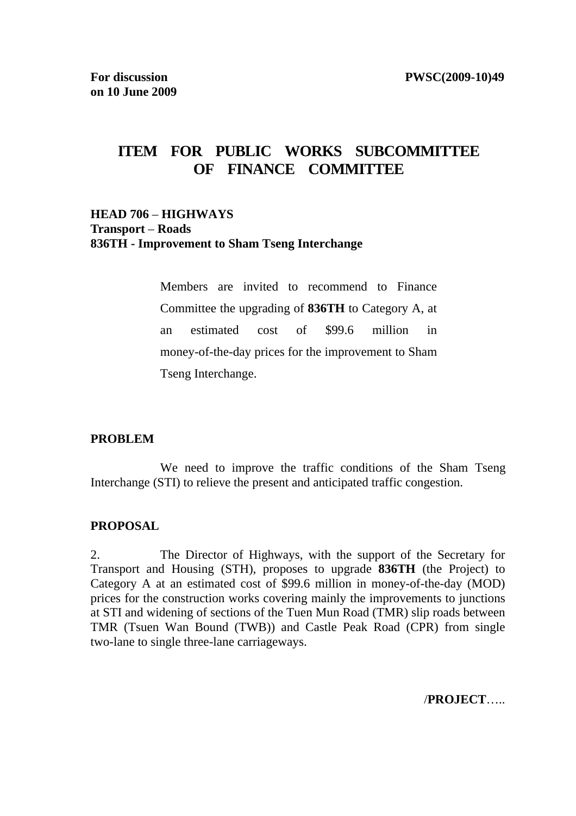# **ITEM FOR PUBLIC WORKS SUBCOMMITTEE OF FINANCE COMMITTEE**

### **HEAD 706** – **HIGHWAYS Transport** – **Roads 836TH - Improvement to Sham Tseng Interchange**

Members are invited to recommend to Finance Committee the upgrading of **836TH** to Category A, at an estimated cost of \$99.6 million in money-of-the-day prices for the improvement to Sham Tseng Interchange.

### **PROBLEM**

 We need to improve the traffic conditions of the Sham Tseng Interchange (STI) to relieve the present and anticipated traffic congestion.

### **PROPOSAL**

2. The Director of Highways, with the support of the Secretary for Transport and Housing (STH), proposes to upgrade **836TH** (the Project) to Category A at an estimated cost of \$99.6 million in money-of-the-day (MOD) prices for the construction works covering mainly the improvements to junctions at STI and widening of sections of the Tuen Mun Road (TMR) slip roads between TMR (Tsuen Wan Bound (TWB)) and Castle Peak Road (CPR) from single two-lane to single three-lane carriageways.

/**PROJECT**…..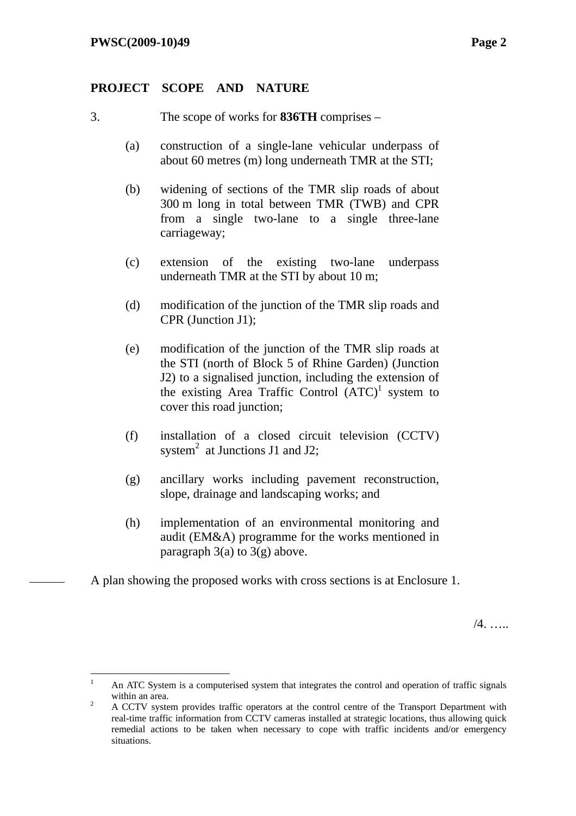### **PROJECT SCOPE AND NATURE**

- 3. The scope of works for **836TH** comprises
	- (a) construction of a single-lane vehicular underpass of about 60 metres (m) long underneath TMR at the STI;
	- (b) widening of sections of the TMR slip roads of about 300 m long in total between TMR (TWB) and CPR from a single two-lane to a single three-lane carriageway;
	- (c) extension of the existing two-lane underpass underneath TMR at the STI by about 10 m;
	- (d) modification of the junction of the TMR slip roads and CPR (Junction J1);
	- (e) modification of the junction of the TMR slip roads at the STI (north of Block 5 of Rhine Garden) (Junction J2) to a signalised junction, including the extension of the existing Area Traffic Control  $(ATC)^1$  system to cover this road junction;
	- (f) installation of a closed circuit television (CCTV) system<sup>2</sup> at Junctions J1 and J2;
	- (g) ancillary works including pavement reconstruction, slope, drainage and landscaping works; and
	- (h) implementation of an environmental monitoring and audit (EM&A) programme for the works mentioned in paragraph  $3(a)$  to  $3(g)$  above.

A plan showing the proposed works with cross sections is at Enclosure 1.

 $/4$ 

 $\frac{1}{1}$  An ATC System is a computerised system that integrates the control and operation of traffic signals within an area.

A CCTV system provides traffic operators at the control centre of the Transport Department with real-time traffic information from CCTV cameras installed at strategic locations, thus allowing quick remedial actions to be taken when necessary to cope with traffic incidents and/or emergency situations.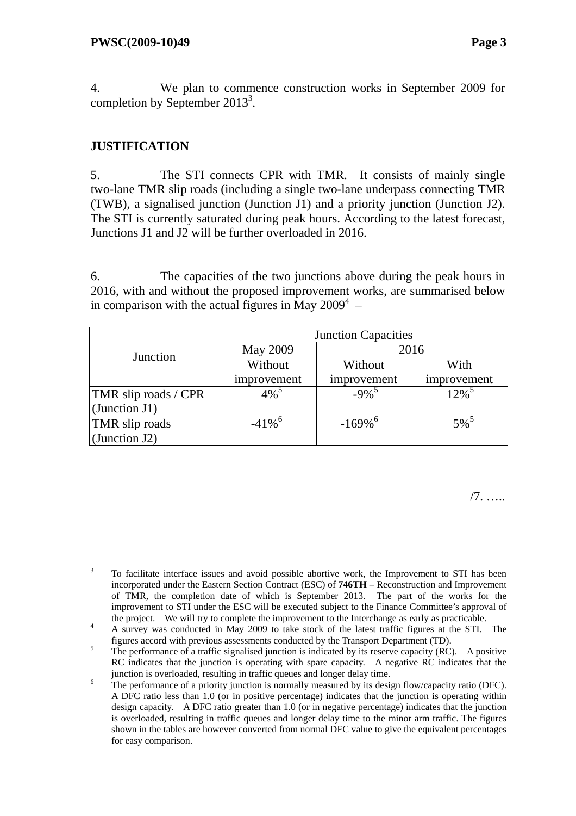4. We plan to commence construction works in September 2009 for completion by September 2013<sup>3</sup>.

## **JUSTIFICATION**

5. The STI connects CPR with TMR. It consists of mainly single two-lane TMR slip roads (including a single two-lane underpass connecting TMR (TWB), a signalised junction (Junction J1) and a priority junction (Junction J2). The STI is currently saturated during peak hours. According to the latest forecast, Junctions J1 and J2 will be further overloaded in 2016.

6. The capacities of the two junctions above during the peak hours in 2016, with and without the proposed improvement works, are summarised below in comparison with the actual figures in May 2009<sup>4</sup> –

|                             | <b>Junction Capacities</b> |                       |                     |  |  |  |  |
|-----------------------------|----------------------------|-----------------------|---------------------|--|--|--|--|
| Junction                    | <b>May 2009</b>            | 2016                  |                     |  |  |  |  |
|                             | Without                    | Without               | With                |  |  |  |  |
|                             | improvement                | improvement           | improvement         |  |  |  |  |
| <b>TMR</b> slip roads / CPR | $4\%$ <sup>3</sup>         | $-9\%$ <sup>3</sup>   | $12\%$ <sup>3</sup> |  |  |  |  |
| (Junction $J1$ )            |                            |                       |                     |  |  |  |  |
| TMR slip roads              | $-41\%$ <sup>6</sup>       | $-169\%$ <sup>6</sup> | $5\%$ <sup>3</sup>  |  |  |  |  |
| (Junction $J2$ )            |                            |                       |                     |  |  |  |  |

/7. …..

 3 To facilitate interface issues and avoid possible abortive work, the Improvement to STI has been incorporated under the Eastern Section Contract (ESC) of **746TH** – Reconstruction and Improvement of TMR, the completion date of which is September 2013. The part of the works for the improvement to STI under the ESC will be executed subject to the Finance Committee's approval of the project. We will try to complete the improvement to the Interchange as early as practicable.

A survey was conducted in May 2009 to take stock of the latest traffic figures at the STI. The figures accord with previous assessments conducted by the Transport Department (TD).

The performance of a traffic signalised junction is indicated by its reserve capacity (RC). A positive RC indicates that the junction is operating with spare capacity. A negative RC indicates that the junction is overloaded, resulting in traffic queues and longer delay time. 6

The performance of a priority junction is normally measured by its design flow/capacity ratio (DFC). A DFC ratio less than 1.0 (or in positive percentage) indicates that the junction is operating within design capacity. A DFC ratio greater than 1.0 (or in negative percentage) indicates that the junction is overloaded, resulting in traffic queues and longer delay time to the minor arm traffic. The figures shown in the tables are however converted from normal DFC value to give the equivalent percentages for easy comparison.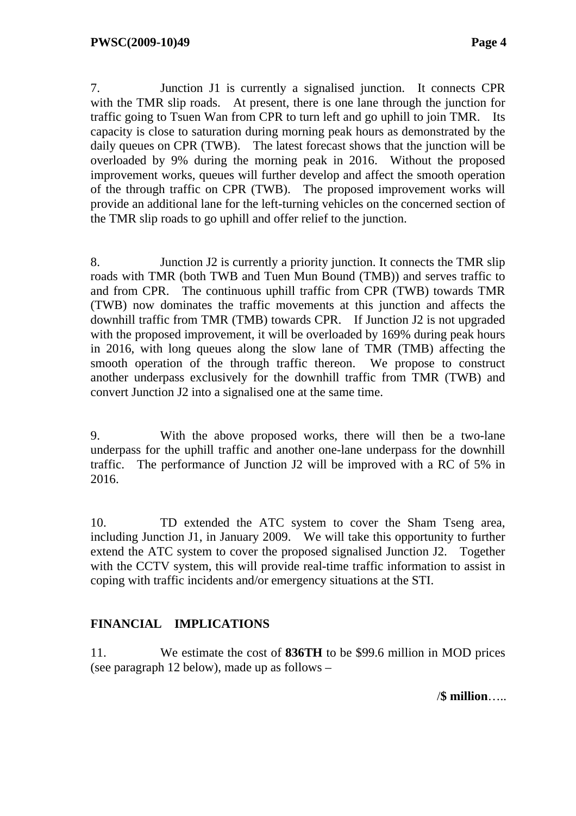7. Junction J1 is currently a signalised junction. It connects CPR with the TMR slip roads. At present, there is one lane through the junction for traffic going to Tsuen Wan from CPR to turn left and go uphill to join TMR. Its capacity is close to saturation during morning peak hours as demonstrated by the daily queues on CPR (TWB). The latest forecast shows that the junction will be overloaded by 9% during the morning peak in 2016. Without the proposed improvement works, queues will further develop and affect the smooth operation of the through traffic on CPR (TWB). The proposed improvement works will provide an additional lane for the left-turning vehicles on the concerned section of the TMR slip roads to go uphill and offer relief to the junction.

8. Junction J2 is currently a priority junction. It connects the TMR slip roads with TMR (both TWB and Tuen Mun Bound (TMB)) and serves traffic to and from CPR. The continuous uphill traffic from CPR (TWB) towards TMR (TWB) now dominates the traffic movements at this junction and affects the downhill traffic from TMR (TMB) towards CPR. If Junction J2 is not upgraded with the proposed improvement, it will be overloaded by 169% during peak hours in 2016, with long queues along the slow lane of TMR (TMB) affecting the smooth operation of the through traffic thereon. We propose to construct another underpass exclusively for the downhill traffic from TMR (TWB) and convert Junction J2 into a signalised one at the same time.

9. With the above proposed works, there will then be a two-lane underpass for the uphill traffic and another one-lane underpass for the downhill traffic. The performance of Junction J2 will be improved with a RC of 5% in 2016.

10. TD extended the ATC system to cover the Sham Tseng area, including Junction J1, in January 2009. We will take this opportunity to further extend the ATC system to cover the proposed signalised Junction J2. Together with the CCTV system, this will provide real-time traffic information to assist in coping with traffic incidents and/or emergency situations at the STI.

## **FINANCIAL IMPLICATIONS**

11. We estimate the cost of **836TH** to be \$99.6 million in MOD prices (see paragraph 12 below), made up as follows –

/**\$ million**…..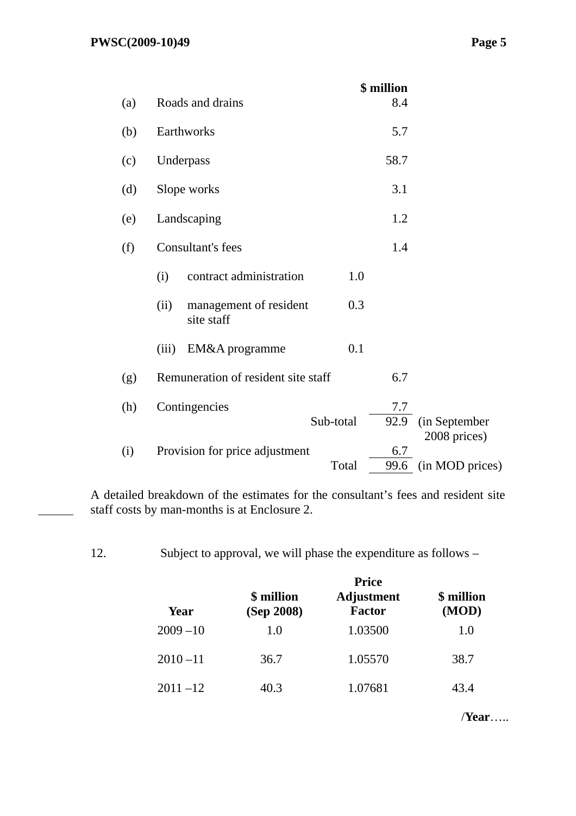| (a) | Roads and drains                             | \$ million<br>8.4    |                               |
|-----|----------------------------------------------|----------------------|-------------------------------|
| (b) | Earthworks                                   | 5.7                  |                               |
| (c) | Underpass                                    | 58.7                 |                               |
| (d) | Slope works                                  | 3.1                  |                               |
| (e) | Landscaping                                  | 1.2                  |                               |
| (f) | Consultant's fees                            | 1.4                  |                               |
|     | contract administration<br>(i)               | 1.0                  |                               |
|     | (ii)<br>management of resident<br>site staff | 0.3                  |                               |
|     | (iii)<br>EM&A programme                      | 0.1                  |                               |
| (g) | Remuneration of resident site staff          | 6.7                  |                               |
| (h) | Contingencies<br>Sub-total                   | 7.7<br>92.9          | (in September<br>2008 prices) |
| (i) | Provision for price adjustment               | 6.7<br>Total<br>99.6 | (in MOD prices)               |

A detailed breakdown of the estimates for the consultant's fees and resident site staff costs by man-months is at Enclosure 2.

12. Subject to approval, we will phase the expenditure as follows –

|             |                          | <b>Price</b>                       |                     |
|-------------|--------------------------|------------------------------------|---------------------|
| Year        | \$ million<br>(Sep 2008) | <b>Adjustment</b><br><b>Factor</b> | \$ million<br>(MOD) |
| $2009 - 10$ | 1.0                      | 1.03500                            | 1.0                 |
| $2010 - 11$ | 36.7                     | 1.05570                            | 38.7                |
| $2011 - 12$ | 40.3                     | 1.07681                            | 43.4                |

/**Year**…..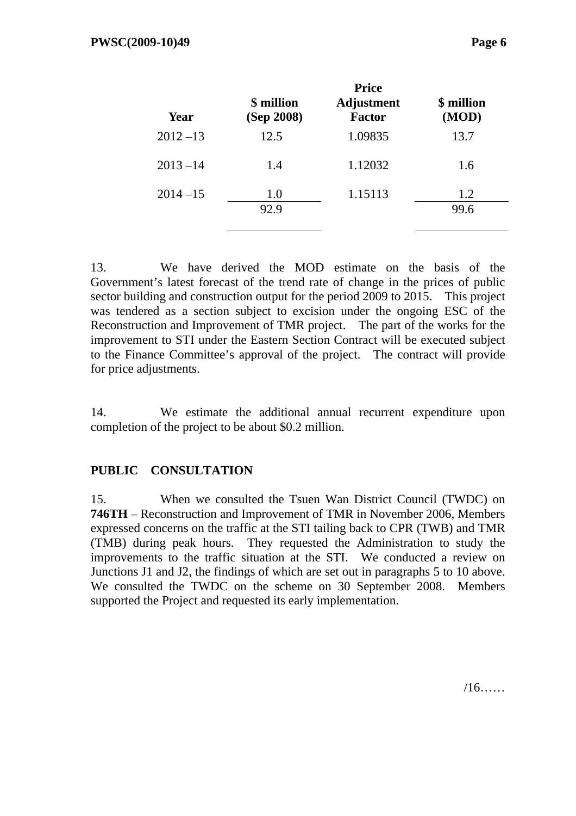| Year        | \$ million<br>(Sep 2008) | <b>Price</b><br><b>Adjustment</b><br><b>Factor</b> | \$ million<br>(MOD) |
|-------------|--------------------------|----------------------------------------------------|---------------------|
| $2012 - 13$ | 12.5                     | 1.09835                                            | 13.7                |
| $2013 - 14$ | 1.4                      | 1.12032                                            | 1.6                 |
| $2014 - 15$ | 1.0<br>92.9              | 1.15113                                            | 1.2<br>99.6         |

13. We have derived the MOD estimate on the basis of the Government's latest forecast of the trend rate of change in the prices of public sector building and construction output for the period 2009 to 2015. This project was tendered as a section subject to excision under the ongoing ESC of the Reconstruction and Improvement of TMR project. The part of the works for the improvement to STI under the Eastern Section Contract will be executed subject to the Finance Committee's approval of the project. The contract will provide for price adjustments.

14. We estimate the additional annual recurrent expenditure upon completion of the project to be about \$0.2 million.

## **PUBLIC CONSULTATION**

15. When we consulted the Tsuen Wan District Council (TWDC) on **746TH** – Reconstruction and Improvement of TMR in November 2006, Members expressed concerns on the traffic at the STI tailing back to CPR (TWB) and TMR (TMB) during peak hours. They requested the Administration to study the improvements to the traffic situation at the STI. We conducted a review on Junctions J1 and J2, the findings of which are set out in paragraphs 5 to 10 above. We consulted the TWDC on the scheme on 30 September 2008. Members supported the Project and requested its early implementation.

/16……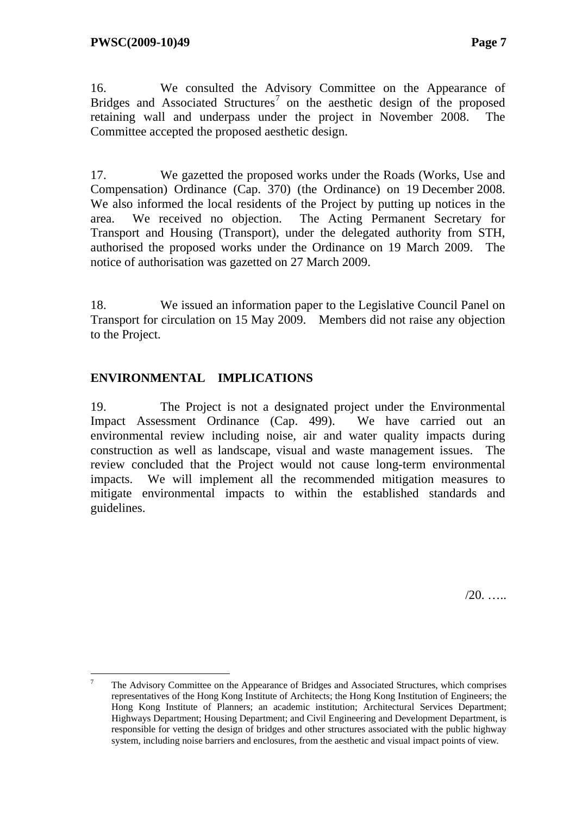16. We consulted the Advisory Committee on the Appearance of Bridges and Associated Structures<sup>7</sup> on the aesthetic design of the proposed retaining wall and underpass under the project in November 2008. The Committee accepted the proposed aesthetic design.

17. We gazetted the proposed works under the Roads (Works, Use and Compensation) Ordinance (Cap. 370) (the Ordinance) on 19 December 2008. We also informed the local residents of the Project by putting up notices in the area. We received no objection. The Acting Permanent Secretary for Transport and Housing (Transport), under the delegated authority from STH, authorised the proposed works under the Ordinance on 19 March 2009. The notice of authorisation was gazetted on 27 March 2009.

18. We issued an information paper to the Legislative Council Panel on Transport for circulation on 15 May 2009. Members did not raise any objection to the Project.

## **ENVIRONMENTAL IMPLICATIONS**

 $\overline{a}$ 

19. The Project is not a designated project under the Environmental Impact Assessment Ordinance (Cap. 499). We have carried out an environmental review including noise, air and water quality impacts during construction as well as landscape, visual and waste management issues. The review concluded that the Project would not cause long-term environmental impacts. We will implement all the recommended mitigation measures to mitigate environmental impacts to within the established standards and guidelines.

 $/20.$  …

<sup>7</sup> The Advisory Committee on the Appearance of Bridges and Associated Structures, which comprises representatives of the Hong Kong Institute of Architects; the Hong Kong Institution of Engineers; the Hong Kong Institute of Planners; an academic institution; Architectural Services Department; Highways Department; Housing Department; and Civil Engineering and Development Department, is responsible for vetting the design of bridges and other structures associated with the public highway system, including noise barriers and enclosures, from the aesthetic and visual impact points of view.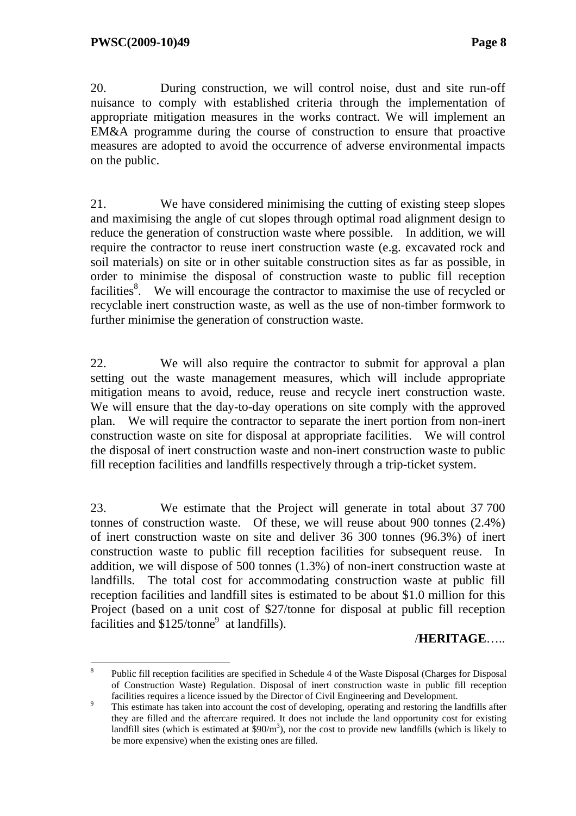20. During construction, we will control noise, dust and site run-off nuisance to comply with established criteria through the implementation of appropriate mitigation measures in the works contract. We will implement an EM&A programme during the course of construction to ensure that proactive measures are adopted to avoid the occurrence of adverse environmental impacts on the public.

21. We have considered minimising the cutting of existing steep slopes and maximising the angle of cut slopes through optimal road alignment design to reduce the generation of construction waste where possible. In addition, we will require the contractor to reuse inert construction waste (e.g. excavated rock and soil materials) on site or in other suitable construction sites as far as possible, in order to minimise the disposal of construction waste to public fill reception facilities<sup>8</sup>. We will encourage the contractor to maximise the use of recycled or recyclable inert construction waste, as well as the use of non-timber formwork to further minimise the generation of construction waste.

22. We will also require the contractor to submit for approval a plan setting out the waste management measures, which will include appropriate mitigation means to avoid, reduce, reuse and recycle inert construction waste. We will ensure that the day-to-day operations on site comply with the approved plan. We will require the contractor to separate the inert portion from non-inert construction waste on site for disposal at appropriate facilities. We will control the disposal of inert construction waste and non-inert construction waste to public fill reception facilities and landfills respectively through a trip-ticket system.

23. We estimate that the Project will generate in total about 37 700 tonnes of construction waste. Of these, we will reuse about 900 tonnes (2.4%) of inert construction waste on site and deliver 36 300 tonnes (96.3%) of inert construction waste to public fill reception facilities for subsequent reuse. In addition, we will dispose of 500 tonnes (1.3%) of non-inert construction waste at landfills. The total cost for accommodating construction waste at public fill reception facilities and landfill sites is estimated to be about \$1.0 million for this Project (based on a unit cost of \$27/tonne for disposal at public fill reception facilities and  $$125/tonne<sup>9</sup>$  at landfills).

/**HERITAGE**…..

 $\overline{a}$ 8 Public fill reception facilities are specified in Schedule 4 of the Waste Disposal (Charges for Disposal of Construction Waste) Regulation. Disposal of inert construction waste in public fill reception facilities requires a licence issued by the Director of Civil Engineering and Development.

This estimate has taken into account the cost of developing, operating and restoring the landfills after they are filled and the aftercare required. It does not include the land opportunity cost for existing landfill sites (which is estimated at  $$90/m^3$ ), nor the cost to provide new landfills (which is likely to be more expensive) when the existing ones are filled.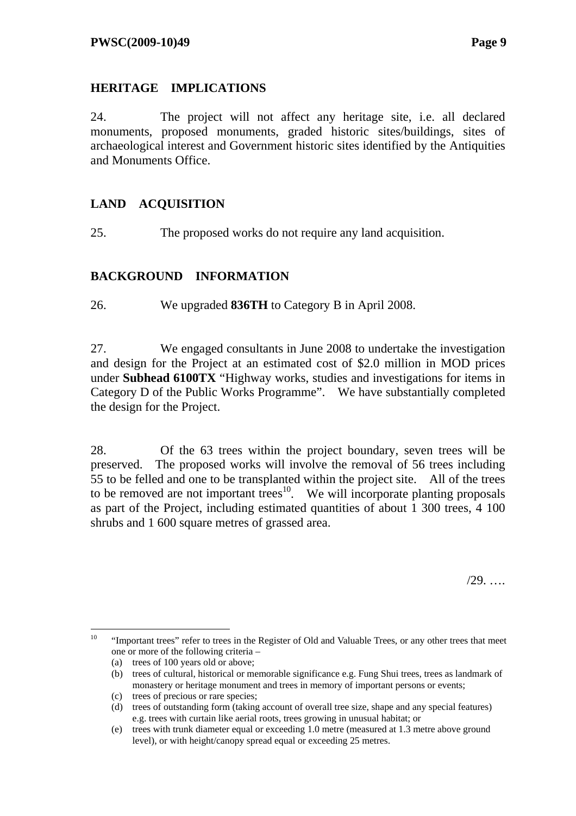## **HERITAGE IMPLICATIONS**

24. The project will not affect any heritage site, i.e. all declared monuments, proposed monuments, graded historic sites/buildings, sites of archaeological interest and Government historic sites identified by the Antiquities and Monuments Office.

## **LAND ACQUISITION**

25. The proposed works do not require any land acquisition.

## **BACKGROUND INFORMATION**

26. We upgraded **836TH** to Category B in April 2008.

27. We engaged consultants in June 2008 to undertake the investigation and design for the Project at an estimated cost of \$2.0 million in MOD prices under **Subhead 6100TX** "Highway works, studies and investigations for items in Category D of the Public Works Programme". We have substantially completed the design for the Project.

28. Of the 63 trees within the project boundary, seven trees will be preserved. The proposed works will involve the removal of 56 trees including 55 to be felled and one to be transplanted within the project site. All of the trees to be removed are not important trees<sup>10</sup>. We will incorporate planting proposals as part of the Project, including estimated quantities of about 1 300 trees, 4 100 shrubs and 1 600 square metres of grassed area.

/29. ….

 $10\,$ 10 "Important trees" refer to trees in the Register of Old and Valuable Trees, or any other trees that meet one or more of the following criteria –

<sup>(</sup>a) trees of 100 years old or above;

<sup>(</sup>b) trees of cultural, historical or memorable significance e.g. Fung Shui trees, trees as landmark of monastery or heritage monument and trees in memory of important persons or events;

<sup>(</sup>c) trees of precious or rare species;

<sup>(</sup>d) trees of outstanding form (taking account of overall tree size, shape and any special features) e.g. trees with curtain like aerial roots, trees growing in unusual habitat; or

<sup>(</sup>e) trees with trunk diameter equal or exceeding 1.0 metre (measured at 1.3 metre above ground level), or with height/canopy spread equal or exceeding 25 metres.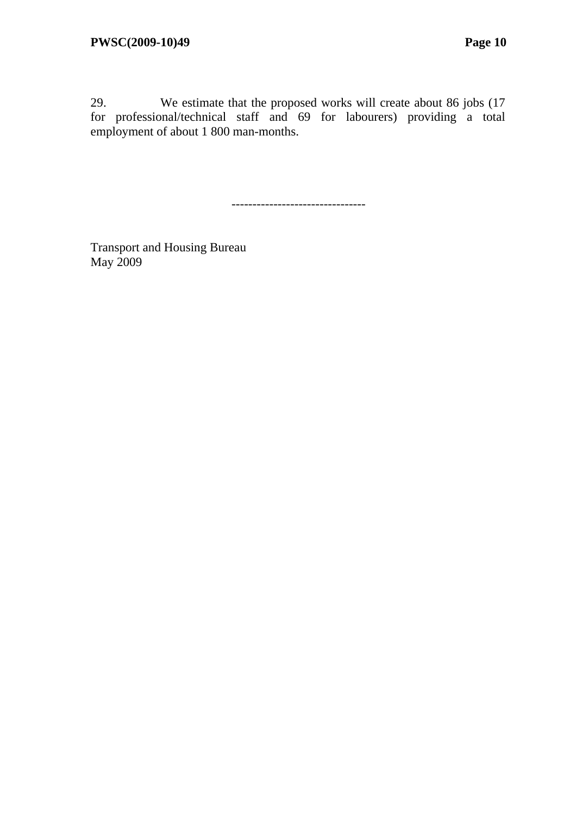29. We estimate that the proposed works will create about 86 jobs (17 for professional/technical staff and 69 for labourers) providing a total employment of about 1 800 man-months.

--------------------------------

Transport and Housing Bureau May 2009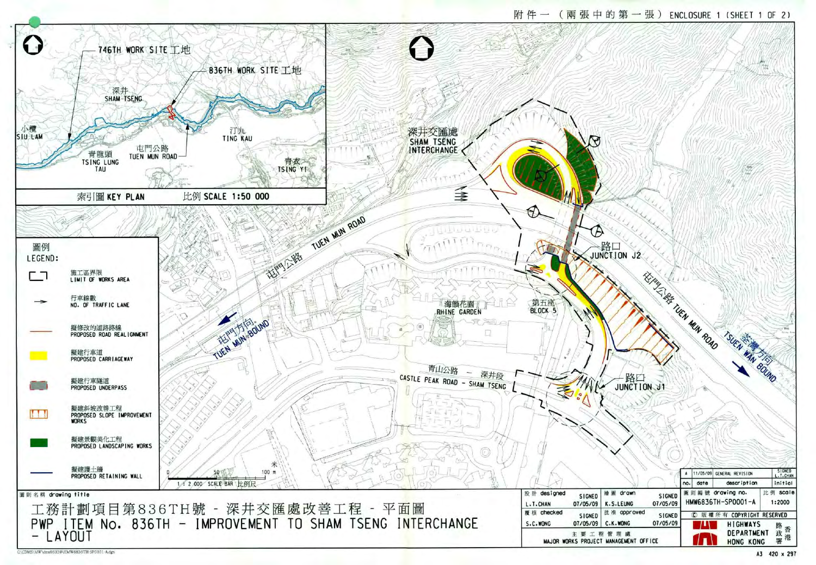

| A3 | 420 x 297 |  |
|----|-----------|--|
|    |           |  |

|                          |                           |     | 1/05/09                                | GENERAL REVISION          | SIGNED<br>L.T.CHAN |
|--------------------------|---------------------------|-----|----------------------------------------|---------------------------|--------------------|
|                          |                           | no. | date                                   | description               | initial            |
| drawn<br><b>.LEUNG</b>   | <b>SIGNED</b><br>07/05/09 |     | 圖則編號 drawing no.<br>HMW6836TH-SP0001-A | scale<br>比例<br>1:2000     |                    |
| approved                 | <b>SIGNED</b>             |     | C<br>版                                 | <b>COPYRIGHT RESERVED</b> |                    |
| . WONG                   | 07/05/09                  |     |                                        | <b>HIGHWAYS</b>           | 路                  |
| 理<br>歲<br>AGEMENT OFFICE |                           |     | DEPARTMENT<br>HONG KONG                | 香港<br>政署                  |                    |

| drawn              | SIGNED                 |     | 圖則編號<br>HMW6836TH-SP0001-A | drawing no.      | 比例 scale          |
|--------------------|------------------------|-----|----------------------------|------------------|-------------------|
|                    |                        | no. | date                       | description      | initial           |
|                    |                        |     | 11/05/09                   | GENERAL REVISION | SIGNED<br>.T.CHAN |
|                    |                        |     |                            |                  |                   |
|                    |                        |     |                            |                  |                   |
|                    |                        |     |                            |                  |                   |
|                    |                        |     |                            |                  |                   |
| ←路口<br>JUNCTION J1 |                        |     |                            |                  |                   |
|                    |                        |     |                            |                  |                   |
|                    |                        |     |                            | TSUEN WAN BOUND  |                   |
|                    |                        |     |                            |                  |                   |
|                    | THE REAL TURN WIN ROAD |     |                            |                  |                   |
|                    |                        |     |                            |                  |                   |
| –<br>∪<br>DN<br>J2 |                        |     |                            |                  |                   |
|                    |                        |     |                            |                  |                   |
|                    |                        |     |                            |                  |                   |
|                    |                        |     |                            |                  |                   |
|                    |                        |     |                            |                  |                   |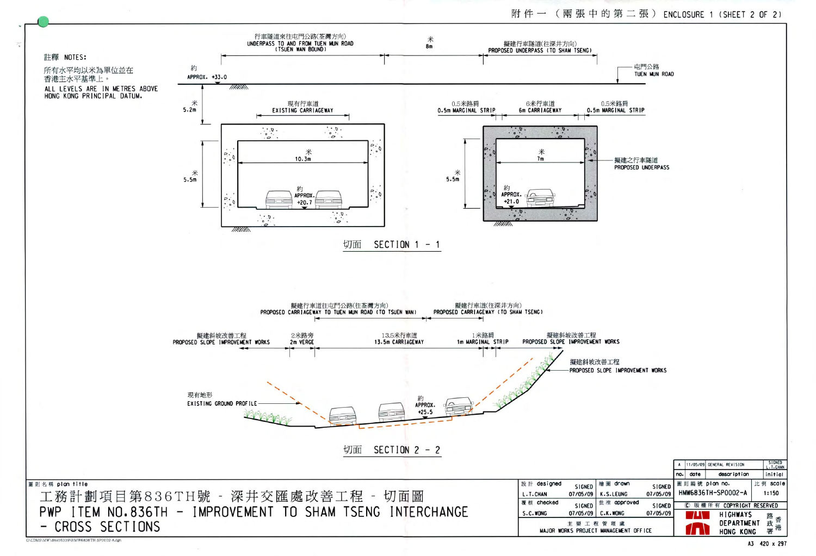

C:\CDMS\MW\dms06339\HMW6836TH-SP0002-A.dgn

附件一(兩張中的第二張) ENCLOSURE 1 (SHEET 2 OF 2)

屯門公路 TUEN MUN ROAD

0.5米路肩 0.5m MARGINAL STRIP

> 擬建之行車隧道 PROPOSED UNDERPASS

PROPOSED SLOPE IMPROVEMENT WORKS

|                                         |                    | A   | 11/05/09 |          | GENERAL REVISION        |   | <b>SIGNED</b><br>L.T.CHAN |
|-----------------------------------------|--------------------|-----|----------|----------|-------------------------|---|---------------------------|
|                                         |                    | no. | date     |          | description             |   | initial                   |
| 圖<br>drawn<br>.S.LEUNG                  | SIGNED<br>07/05/09 |     | 則編號      | plan no. | HMW6836TH-SP0002-A      | 比 | scale<br>例<br>1:150       |
| 准 approved                              | <b>SIGNED</b>      |     | C        |          | 版權所有 COPYRIGHT RESERVED |   |                           |
| .K.WONG                                 | 07/05/09           |     | ٠        |          | <b>HIGHWAYS</b>         |   | 路                         |
| 管<br>琿<br>處<br><b>IANAGEMENT OFFICE</b> |                    |     |          |          | DEPARTMENT<br>HONG KONG |   | 政署<br>港                   |

A3 420 x 297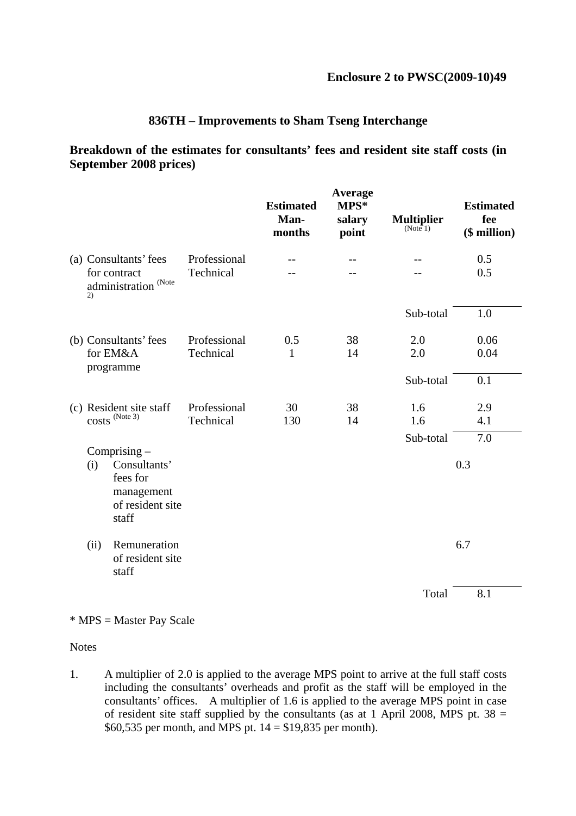### **836TH** – **Improvements to Sham Tseng Interchange**

#### **Breakdown of the estimates for consultants' fees and resident site staff costs (in September 2008 prices)**

|                                                                                              |                           | <b>Estimated</b><br>Man-<br>months | Average<br>MPS*<br>salary<br>point | <b>Multiplier</b><br>(Note 1) | <b>Estimated</b><br>fee<br>(\$ million) |
|----------------------------------------------------------------------------------------------|---------------------------|------------------------------------|------------------------------------|-------------------------------|-----------------------------------------|
| (a) Consultants' fees<br>for contract<br>administration <sup>(Note)</sup><br>2)              | Professional<br>Technical |                                    |                                    |                               | 0.5<br>0.5                              |
|                                                                                              |                           |                                    |                                    | Sub-total                     | 1.0                                     |
| (b) Consultants' fees<br>for EM&A<br>programme                                               | Professional<br>Technical | 0.5<br>$\mathbf{1}$                | 38<br>14                           | 2.0<br>2.0                    | 0.06<br>0.04                            |
|                                                                                              |                           |                                    |                                    | Sub-total                     | 0.1                                     |
| (c) Resident site staff<br>COSts <sup>(Note 3)</sup>                                         | Professional<br>Technical | 30<br>130                          | 38<br>14                           | 1.6<br>1.6                    | 2.9<br>4.1                              |
| Comprising $-$<br>Consultants'<br>(i)<br>fees for<br>management<br>of resident site<br>staff |                           |                                    |                                    | Sub-total                     | 7.0<br>0.3                              |
| Remuneration<br>(ii)<br>of resident site<br>staff                                            |                           |                                    |                                    |                               | 6.7                                     |
|                                                                                              |                           |                                    |                                    | Total                         | 8.1                                     |

#### \* MPS = Master Pay Scale

**Notes** 

1. A multiplier of 2.0 is applied to the average MPS point to arrive at the full staff costs including the consultants' overheads and profit as the staff will be employed in the consultants' offices. A multiplier of 1.6 is applied to the average MPS point in case of resident site staff supplied by the consultants (as at 1 April 2008, MPS pt.  $38 =$ \$60,535 per month, and MPS pt. 14 = \$19,835 per month).